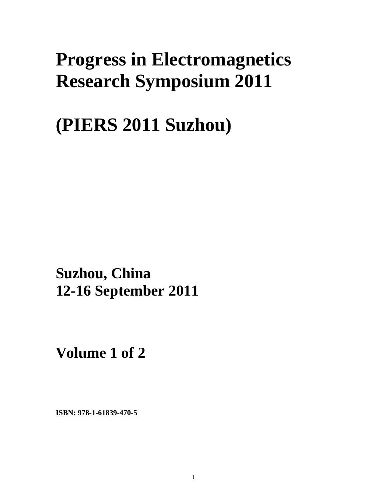# **Progress in Electromagnetics Research Symposium 2011**

**(PIERS 2011 Suzhou)** 

**Suzhou, China 12-16 September 2011**

**Volume 1 of 2** 

**ISBN: 978-1-61839-470-5**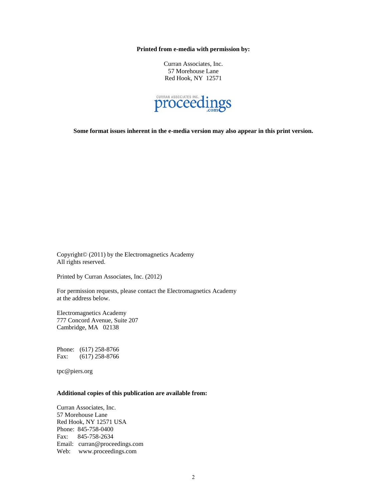**Printed from e-media with permission by:** 

Curran Associates, Inc. 57 Morehouse Lane Red Hook, NY 12571



**Some format issues inherent in the e-media version may also appear in this print version.** 

Copyright© (2011) by the Electromagnetics Academy All rights reserved.

Printed by Curran Associates, Inc. (2012)

For permission requests, please contact the Electromagnetics Academy at the address below.

Electromagnetics Academy 777 Concord Avenue, Suite 207 Cambridge, MA 02138

Phone: (617) 258-8766 Fax: (617) 258-8766

tpc@piers.org

#### **Additional copies of this publication are available from:**

Curran Associates, Inc. 57 Morehouse Lane Red Hook, NY 12571 USA Phone: 845-758-0400 Fax: 845-758-2634 Email: curran@proceedings.com Web: www.proceedings.com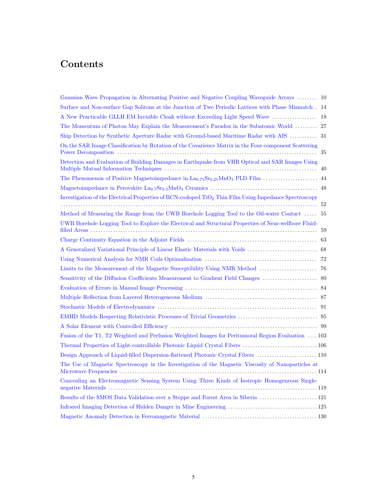## Contents

| Gaussian Wave Propagation in Alternating Positive and Negative Coupling Waveguide Arrays  10                      |    |
|-------------------------------------------------------------------------------------------------------------------|----|
| Surface and Non-surface Gap Solitons at the Junction of Two Periodic Lattices with Phase Mismatch 14              |    |
| A New Practicable GLLH EM Invisible Cloak without Exceeding Light Speed Wave                                      | 18 |
| The Momentum of Photon May Explain the Measurement's Paradox in the Subatomic World  27                           |    |
| Ship Detection by Synthetic Aperture Radar with Ground-based Maritime Radar with AIS  31                          |    |
| On the SAR Image Classification by Rotation of the Covarience Matrix in the Four-component Scattering             | 35 |
| Detection and Evaluation of Building Damages in Earthquake from VHR Optical and SAR Images Using                  | 40 |
|                                                                                                                   |    |
|                                                                                                                   |    |
| Investigation of the Electrical Properties of BCN-codoped TiO <sub>2</sub> Thin Film Using Impedance Spectroscopy |    |
| Method of Measuring the Range from the UWB Borehole Logging Tool to the Oil-water Contact  55                     |    |
| UWB Borehole Logging Tool to Explore the Electrical and Structural Properties of Near-wellbore Fluid-             |    |
|                                                                                                                   |    |
|                                                                                                                   |    |
|                                                                                                                   |    |
|                                                                                                                   |    |
|                                                                                                                   |    |
|                                                                                                                   |    |
|                                                                                                                   |    |
|                                                                                                                   |    |
|                                                                                                                   |    |
|                                                                                                                   |    |
| Fusion of the T1, T2 Weighted and Perfusion Weighted Images for Peritumoral Region Evaluation  103                |    |
| Thermal Properties of Light-controllable Photonic Liquid Crystal Fibers 106                                       |    |
| Design Approach of Liquid-filled Dispersion-flattened Photonic Crystal Fibers  110                                |    |
| The Use of Magnetic Spectroscopy in the Investigation of the Magnetic Viscosity of Nanoparticles at               |    |
| Concealing an Electromagnetic Sensing System Using Three Kinds of Isotropic Homogeneous Single-                   |    |
| Results of the SMOS Data Validation over a Steppe and Forest Area in Siberia  121                                 |    |
|                                                                                                                   |    |
|                                                                                                                   |    |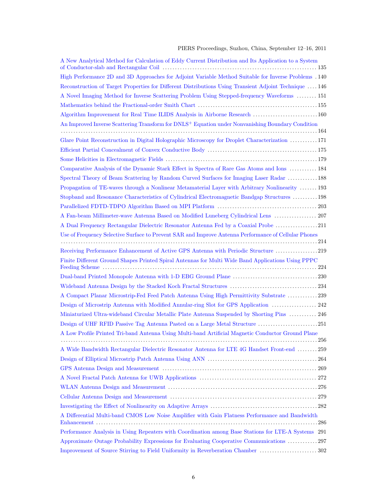#### PIERS Proceedings, Suzhou, China, September 12–16, 2011

| A New Analytical Method for Calculation of Eddy Current Distribution and Its Application to a System          |
|---------------------------------------------------------------------------------------------------------------|
| High Performance 2D and 3D Approaches for Adjoint Variable Method Suitable for Inverse Problems . 140         |
| Reconstruction of Target Properties for Different Distributions Using Transient Adjoint Technique  146        |
| A Novel Imaging Method for Inverse Scattering Problem Using Stepped-frequency Waveforms  151                  |
|                                                                                                               |
| Algorithm Improvement for Real Time ILIDS Analysis in Airborne Research 160                                   |
| An Improved Inverse Scattering Transform for DNLS <sup>+</sup> Equation under Nonvanishing Boundary Condition |
|                                                                                                               |
| Glare Point Reconstruction in Digital Holographic Microscopy for Droplet Characterization 171                 |
|                                                                                                               |
|                                                                                                               |
| Comparative Analysis of the Dynamic Stark Effect in Spectra of Rare Gas Atoms and Ions  184                   |
| Spectral Theory of Beam Scattering by Random Curved Surfaces for Imaging Laser Radar  188                     |
| Propagation of TE-waves through a Nonlinear Metamaterial Layer with Arbitrary Nonlinearity  193               |
| Stopband and Resonance Characteristics of Cylindrical Electromagnetic Bandgap Structures  198                 |
|                                                                                                               |
| A Fan-beam Millimeter-wave Antenna Based on Modified Luneberg Cylindrical Lens  207                           |
| A Dual Frequency Rectangular Dielectric Resonator Antenna Fed by a Coaxial Probe 211                          |
| Use of Frequency Selective Surface to Prevent SAR and Improve Antenna Performance of Cellular Phones          |
|                                                                                                               |
| Receiving Performance Enhancement of Active GPS Antenna with Periodic Structure 219                           |
| Finite Different Ground Shapes Printed Spiral Antennas for Multi Wide Band Applications Using PPPC            |
|                                                                                                               |
|                                                                                                               |
| A Compact Planar Microstrip-Fed Feed Patch Antenna Using High Permittivity Substrate 239                      |
| Design of Microstrip Antenna with Modified Annular-ring Slot for GPS Application  242                         |
| Miniaturized Ultra-wideband Circular Metallic Plate Antenna Suspended by Shorting Pins  246                   |
| Design of UHF RFID Passive Tag Antenna Pasted on a Large Metal Structure 251                                  |
| A Low Profile Printed Tri-band Antenna Using Multi-band Artificial Magnetic Conductor Ground Plane            |
| 256                                                                                                           |
| A Wide Bandwidth Rectangular Dielectric Resonator Antenna for LTE 4G Handset Front-end  259                   |
|                                                                                                               |
|                                                                                                               |
|                                                                                                               |
|                                                                                                               |
|                                                                                                               |
|                                                                                                               |
| A Differential Multi-band CMOS Low Noise Amplifier with Gain Flatness Performance and Bandwidth               |
| Performance Analysis in Using Repeaters with Coordination among Base Stations for LTE-A Systems 291           |
| Approximate Outage Probability Expressions for Evaluating Cooperative Communications 297                      |
| Improvement of Source Stirring to Field Uniformity in Reverberation Chamber  302                              |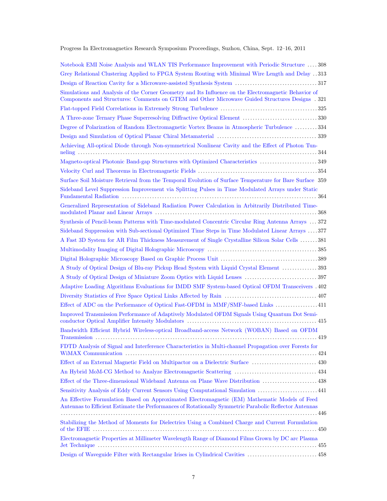Progress In Electromagnetics Research Symposium Proceedings, Suzhou, China, Sept. 12–16, 2011

| Notebook EMI Noise Analysis and WLAN TIS Performance Improvement with Periodic Structure  308                                                                                                           |
|---------------------------------------------------------------------------------------------------------------------------------------------------------------------------------------------------------|
| Grey Relational Clustering Applied to FPGA System Routing with Minimal Wire Length and Delay 313                                                                                                        |
|                                                                                                                                                                                                         |
| Simulations and Analysis of the Corner Geometry and Its Influence on the Electromagnetic Behavior of<br>Components and Structures: Comments on GTEM and Other Microwave Guided Structures Designs . 321 |
|                                                                                                                                                                                                         |
| A Three-zone Ternary Phase Superresolving Diffractive Optical Element 330                                                                                                                               |
| Degree of Polarization of Random Electromagnetic Vortex Beams in Atmospheric Turbulence 334                                                                                                             |
|                                                                                                                                                                                                         |
| Achieving All-optical Diode through Non-symmetrical Nonlinear Cavity and the Effect of Photon Tun-                                                                                                      |
|                                                                                                                                                                                                         |
|                                                                                                                                                                                                         |
| Surface Soil Moisture Retrieval from the Temporal Evolution of Surface Temperature for Bare Surface 359                                                                                                 |
| Sideband Level Suppression Improvement via Splitting Pulses in Time Modulated Arrays under Static                                                                                                       |
| Generalized Representation of Sideband Radiation Power Calculation in Arbitrarily Distributed Time-                                                                                                     |
| Synthesis of Pencil-beam Patterns with Time-modulated Concentric Circular Ring Antenna Arrays  372                                                                                                      |
| Sideband Suppression with Sub-sectional Optimized Time Steps in Time Modulated Linear Arrays  377                                                                                                       |
| A Fast 3D System for AR Film Thickness Measurement of Single Crystalline Silicon Solar Cells  381                                                                                                       |
|                                                                                                                                                                                                         |
|                                                                                                                                                                                                         |
| A Study of Optical Design of Blu-ray Pickup Head System with Liquid Crystal Element  393                                                                                                                |
|                                                                                                                                                                                                         |
| Adaptive Loading Algorithms Evaluations for IMDD SMF System-based Optical OFDM Transceivers . 402                                                                                                       |
|                                                                                                                                                                                                         |
| Effect of ADC on the Performance of Optical Fast-OFDM in MMF/SMF-based Links  411                                                                                                                       |
| Improved Transmission Performance of Adaptively Modulated OFDM Signals Using Quantum Dot Semi-                                                                                                          |
| Bandwidth Efficient Hybrid Wireless-optical Broadband-access Network (WOBAN) Based on OFDM                                                                                                              |
| FDTD Analysis of Signal and Interference Characteristics in Multi-channel Propagation over Forests for                                                                                                  |
| Effect of an External Magnetic Field on Multipactor on a Dielectric Surface  430                                                                                                                        |
|                                                                                                                                                                                                         |
| Effect of the Three-dimensional Wideband Antenna on Plane Wave Distribution  438                                                                                                                        |
| Sensitivity Analysis of Eddy Current Sensors Using Computational Simulation  441                                                                                                                        |
| An Effective Formulation Based on Approximated Electromagnetic (EM) Mathematic Models of Feed<br>Antennas to Efficient Estimate the Performances of Rotationally Symmetric Parabolic Reflector Antennas |
| Stabilizing the Method of Moments for Dielectrics Using a Combined Charge and Current Formulation                                                                                                       |
| Electromagnetic Properties at Millimeter Wavelength Range of Diamond Films Grown by DC arc Plasma                                                                                                       |
| Design of Waveguide Filter with Rectangular Irises in Cylindrical Cavities  458                                                                                                                         |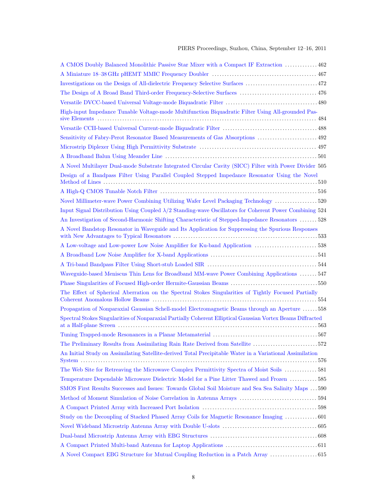| A CMOS Doubly Balanced Monolithic Passive Star Mixer with a Compact IF Extraction  462                         |  |
|----------------------------------------------------------------------------------------------------------------|--|
|                                                                                                                |  |
|                                                                                                                |  |
| The Design of A Broad Band Third-order Frequency-Selective Surfaces  476                                       |  |
|                                                                                                                |  |
| High-input Impedance Tunable Voltage-mode Multifunction Biquadratic Filter Using All-grounded Pas-             |  |
|                                                                                                                |  |
| Sensitivity of Fabry-Perot Resonator Based Measurements of Gas Absorptions  492                                |  |
|                                                                                                                |  |
|                                                                                                                |  |
| A Novel Multilayer Dual-mode Substrate Integrated Circular Cavity (SICC) Filter with Power Divider 505         |  |
| Design of a Bandpass Filter Using Parallel Coupled Stepped Impedance Resonator Using the Novel                 |  |
|                                                                                                                |  |
| Novel Millimeter-wave Power Combining Utilizing Wafer Level Packaging Technology  520                          |  |
| Input Signal Distribution Using Coupled $\lambda/2$ Standing-wave Oscillators for Coherent Power Combining 524 |  |
| An Investigation of Second-Harmonic Shifting Characteristic of Stepped-Impedance Resonators  528               |  |
| A Novel Bandstop Resonator in Waveguide and Its Application for Suppressing the Spurious Responses             |  |
|                                                                                                                |  |
|                                                                                                                |  |
|                                                                                                                |  |
| Waveguide-based Meniscus Thin Lens for Broadband MM-wave Power Combining Applications  547                     |  |
| Phase Singularities of Focused High-order Hermite-Gaussian Beams 550                                           |  |
| The Effect of Spherical Aberration on the Spectral Stokes Singularities of Tightly Focused Partially           |  |
| Propagation of Nonparaxial Gaussian Schell-model Electromagnetic Beams through an Aperture  558                |  |
| Spectral Stokes Singularities of Nonparaxial Partially Coherent Elliptical Gaussian Vortex Beams Diffracted    |  |
|                                                                                                                |  |
| The Preliminary Results from Assimilating Rain Rate Derived from Satellite 572                                 |  |
| An Initial Study on Assimilating Satellite-derived Total Precipitable Water in a Variational Assimilation      |  |
| The Web Site for Retreaving the Microwave Complex Permittivity Spectra of Moist Soils  581                     |  |
| Temperature Dependable Microwave Dielectric Model for a Pine Litter Thawed and Frozen 585                      |  |
| SMOS First Results Successes and Issues: Towards Global Soil Moisture and Sea Sea Salinity Maps  590           |  |
|                                                                                                                |  |
|                                                                                                                |  |
| Study on the Decoupling of Stacked Phased Array Coils for Magnetic Resonance Imaging  601                      |  |
|                                                                                                                |  |
|                                                                                                                |  |
|                                                                                                                |  |
|                                                                                                                |  |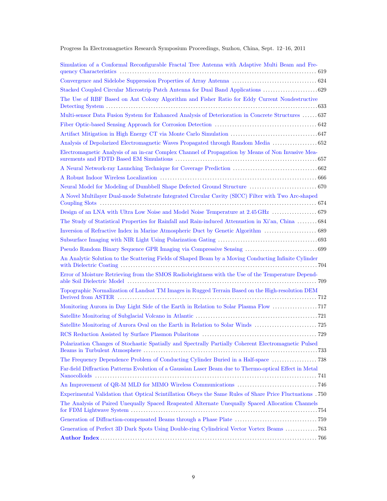| Simulation of a Conformal Reconfigurable Fractal Tree Antenna with Adaptive Multi Beam and Fre-          |
|----------------------------------------------------------------------------------------------------------|
|                                                                                                          |
|                                                                                                          |
| The Use of RBF Based on Ant Colony Algorithm and Fisher Ratio for Eddy Current Nondestructive            |
| Multi-sensor Data Fusion System for Enhanced Analysis of Deterioration in Concrete Structures  637       |
|                                                                                                          |
|                                                                                                          |
| Analysis of Depolarized Electromagnetic Waves Propagated through Random Media  652                       |
| Electromagnetic Analysis of an in-car Complex Channel of Propagation by Means of Non Invasive Mea-       |
|                                                                                                          |
|                                                                                                          |
| Neural Model for Modeling of Dumbbell Shape Defected Ground Structure  670                               |
| A Novel Multilayer Dual-mode Substrate Integrated Circular Cavity (SICC) Filter with Two Arc-shaped      |
|                                                                                                          |
| The Study of Statistical Properties for Rainfall and Rain-induced Attenuation in Xi'an, China  684       |
|                                                                                                          |
|                                                                                                          |
|                                                                                                          |
| An Analytic Solution to the Scattering Fields of Shaped Beam by a Moving Conducting Infinite Cylinder    |
| Error of Moisture Retrieving from the SMOS Radiobrightness with the Use of the Temperature Depend-       |
| Topographic Normalization of Landsat TM Images in Rugged Terrain Based on the High-resolution DEM        |
|                                                                                                          |
|                                                                                                          |
|                                                                                                          |
|                                                                                                          |
| Polarization Changes of Stochastic Spatially and Spectrally Partially Coherent Electromagnetic Pulsed    |
|                                                                                                          |
| Far-field Diffraction Patterns Evolution of a Gaussian Laser Beam due to Thermo-optical Effect in Metal  |
|                                                                                                          |
| Experimental Validation that Optical Scintillation Obeys the Same Rules of Share Price Fluctuations .750 |
| The Analysis of Paired Unequally Spaced Reapeated Alternate Unequally Spaced Allocation Channels         |
|                                                                                                          |
| Generation of Perfect 3D Dark Spots Using Double-ring Cylindrical Vector Vortex Beams 763                |
|                                                                                                          |

Progress In Electromagnetics Research Symposium Proceedings, Suzhou, China, Sept. 12–16, 2011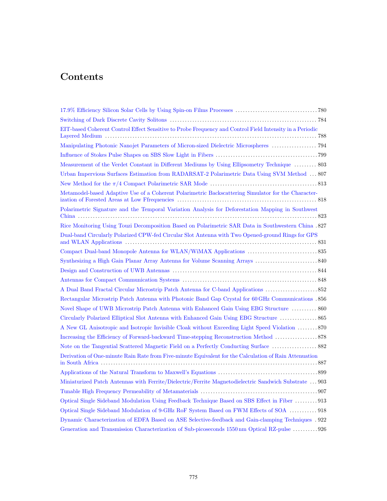## Contents

| EIT-based Coherent Control Effect Sensitive to Probe Frequency and Control Field Intensity in a Periodic |  |
|----------------------------------------------------------------------------------------------------------|--|
| Manipulating Photonic Nanojet Parameters of Micron-sized Dielectric Microspheres  794                    |  |
|                                                                                                          |  |
| Measurement of the Verdet Constant in Different Mediums by Using Ellipsometry Technique  803             |  |
| Urban Impervious Surfaces Estimation from RADARSAT-2 Polarimetric Data Using SVM Method  807             |  |
|                                                                                                          |  |
| Metamodel-based Adaptive Use of a Coherent Polarimetric Backscattering Simulator for the Character-      |  |
| Polarimetric Signature and the Temporal Variation Analysis for Deforestation Mapping in Southwest        |  |
| Rice Monitoring Using Touzi Decomposition Based on Polarimetric SAR Data in Southwestern China . 827     |  |
| Dual-band Circularly Polarized CPW-fed Circular Slot Antenna with Two Opened-ground Rings for GPS        |  |
|                                                                                                          |  |
|                                                                                                          |  |
|                                                                                                          |  |
|                                                                                                          |  |
|                                                                                                          |  |
| Rectangular Microstrip Patch Antenna with Photonic Band Gap Crystal for 60 GHz Communications .856       |  |
| Novel Shape of UWB Microstrip Patch Antenna with Enhanced Gain Using EBG Structure  860                  |  |
| Circularly Polarized Elliptical Slot Antenna with Enhanced Gain Using EBG Structure  865                 |  |
| A New GL Anisotropic and Isotropic Invisible Cloak without Exceeding Light Speed Violation  870          |  |
|                                                                                                          |  |
| Note on the Tangential Scattered Magnetic Field on a Perfectly Conducting Surface  882                   |  |
| Derivation of One-minute Rain Rate from Five-minute Equivalent for the Calculation of Rain Attenuation   |  |
|                                                                                                          |  |
| Miniaturized Patch Antennas with Ferrite/Dielectric/Ferrite Magnetodielectric Sandwich Substrate  903    |  |
|                                                                                                          |  |
| Optical Single Sideband Modulation Using Feedback Technique Based on SBS Effect in Fiber  913            |  |
| Optical Single Sideband Modulation of 9-GHz RoF System Based on FWM Effects of SOA  918                  |  |
| Dynamic Characterization of EDFA Based on ASE Selective-feedback and Gain-clamping Techniques . 922      |  |
| Generation and Transmission Characterization of Sub-picoseconds 1550 nm Optical RZ-pulse 926             |  |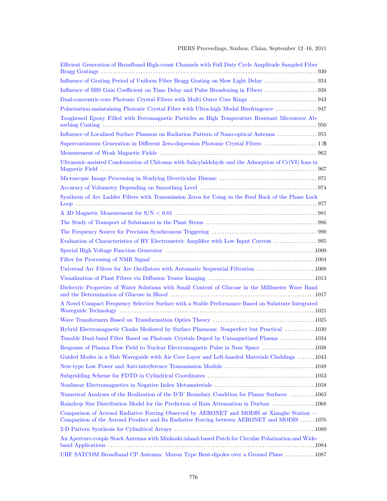| Efficient Generation of Broadband High-count Channels with Full Duty Cycle Amplitude Sampled Fiber                                                                                       |
|------------------------------------------------------------------------------------------------------------------------------------------------------------------------------------------|
|                                                                                                                                                                                          |
|                                                                                                                                                                                          |
|                                                                                                                                                                                          |
|                                                                                                                                                                                          |
| Toughened Epoxy Filled with Ferromagnetic Particles as High Temperature Resistant Microwave Ab-                                                                                          |
| Influence of Localized Surface Plasmon on Radiation Pattern of Nano-optical Antenna  955                                                                                                 |
| Supercontinuum Generation in Different Zero-dispersion Photonic Crystal Fibers  PIC                                                                                                      |
|                                                                                                                                                                                          |
| Ultrasonic-assisted Condensation of Chitosan with Salicylaldehyde and the Adsorption of Cr(VI) Ions in                                                                                   |
|                                                                                                                                                                                          |
|                                                                                                                                                                                          |
| Synthesis of Arc Ladder Filters with Transmission Zeros for Using in the Feed Back of the Phase Lock                                                                                     |
|                                                                                                                                                                                          |
|                                                                                                                                                                                          |
|                                                                                                                                                                                          |
| Evaluation of Characteristics of HV Electrometric Amplifier with Low Input Current  995                                                                                                  |
|                                                                                                                                                                                          |
|                                                                                                                                                                                          |
| Universal Arc Filters for Arc Oscillators with Automatic Sequential Filtration 1008                                                                                                      |
|                                                                                                                                                                                          |
| Dielectric Properties of Water Solutions with Small Content of Glucose in the Millimeter Wave Band                                                                                       |
| A Novel Compact Frequency Selective Surface with a Stable Performance Based on Substrate Integrated                                                                                      |
|                                                                                                                                                                                          |
| Hybrid Electromagnetic Cloaks Mediated by Surface Plasmons: Nonperfect but Practical 1030                                                                                                |
| Tunable Dual-band Filter Based on Photonic Crystals Doped by Unmagnetized Plasma 1034                                                                                                    |
| Response of Plasma Flow Field to Nuclear Electromagnetic Pulse in Near Space 1038                                                                                                        |
| Guided Modes in a Slab Waveguide with Air Core Layer and Left-handed Materials Claddings 1043                                                                                            |
|                                                                                                                                                                                          |
|                                                                                                                                                                                          |
|                                                                                                                                                                                          |
| Numerical Analyses of the Realization of the D'B' Boundary Condition for Planar Surfaces 1063                                                                                            |
| Raindrop Size Distribution Model for the Prediction of Rain Attenuation in Durban  1068                                                                                                  |
| Comparison of Aerosol Radiative Forcing Observed by AERONET and MODIS at Xianghe Station —<br>Comparison of the Aerosol Product and Its Radiative Forcing between AERONET and MODIS 1076 |
|                                                                                                                                                                                          |
| An Aperture-couple Stack Antenna with Minkoski-island-based Patch for Circular Polarization and Wide-                                                                                    |
| UHF SATCOM Broadband CP Antenna: Moxon Type Bent-dipoles over a Ground Plane 1087                                                                                                        |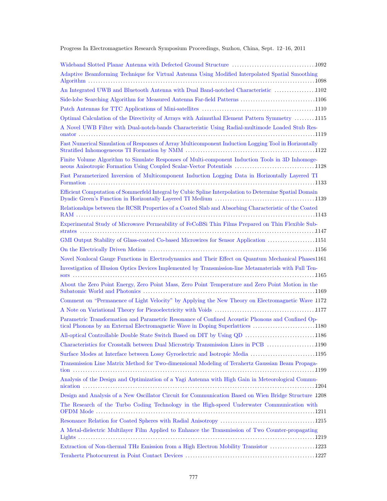Progress In Electromagnetics Research Symposium Proceedings, Suzhou, China, Sept. 12–16, 2011

| Adaptive Beamforming Technique for Virtual Antenna Using Modified Interpolated Spatial Smoothing                                                                                   |
|------------------------------------------------------------------------------------------------------------------------------------------------------------------------------------|
| An Integrated UWB and Bluetooth Antenna with Dual Band-notched Characteristic 1102                                                                                                 |
| Side-lobe Searching Algorithm for Measured Antenna Far-field Patterns 1106                                                                                                         |
|                                                                                                                                                                                    |
| Optimal Calculation of the Directivity of Arrays with Azimuthal Element Pattern Symmetry 1115                                                                                      |
| A Novel UWB Filter with Dual-notch-bands Characteristic Using Radial-multimode Loaded Stub Res-                                                                                    |
| Fast Numerical Simulation of Responses of Array Multicomponent Induction Logging Tool in Horizontally                                                                              |
| Finite Volume Algorithm to Simulate Responses of Multi-component Induction Tools in 3D Inhomoge-<br>neous Anisotropic Formation Using Coupled Scalar-Vector Potentials 1128        |
| Fast Parameterized Inversion of Multicomponent Induction Logging Data in Horizontally Layered TI                                                                                   |
| Efficient Computation of Sommerfeld Integral by Cubic Spline Interpolation to Determine Spatial Domain                                                                             |
| Relationships between the RCSR Properties of a Coated Slab and Absorbing Characteristic of the Coated                                                                              |
| Experimental Study of Microwave Permeability of FeCoBSi Thin Films Prepared on Thin Flexible Sub-                                                                                  |
| GMI Output Stability of Glass-coated Co-based Microwires for Sensor Application 1151                                                                                               |
|                                                                                                                                                                                    |
| Novel Nonlocal Gauge Functions in Electrodynamics and Their Effect on Quantum Mechanical Phases1161                                                                                |
| Investigation of Illusion Optics Devices Implemented by Transmission-line Metamaterials with Full Ten-                                                                             |
| About the Zero Point Energy, Zero Point Mass, Zero Point Temperature and Zero Point Motion in the                                                                                  |
| Comment on "Permanence of Light Velocity" by Applying the New Theory on Electromagnetic Wave 1172                                                                                  |
|                                                                                                                                                                                    |
| Parametric Transformation and Parametric Resonance of Confined Acoustic Phonons and Confined Op-<br>tical Phonons by an External Electromagnetic Wave in Doping Superlattices 1180 |
| All-optical Controllable Double State Switch Based on DIT by Using QD 1186                                                                                                         |
| Characteristics for Crosstalk between Dual Microstrip Transmission Lines in PCB 1190                                                                                               |
| Surface Modes at Interface between Lossy Gyroelectric and Isotropic Media 1195                                                                                                     |
| Transmission Line Matrix Method for Two-dimensional Modeling of Terahertz Gaussian Beam Propaga-                                                                                   |
| Analysis of the Design and Optimization of a Yagi Antenna with High Gain in Meteorological Commu-                                                                                  |
| Design and Analysis of a New Oscillator Circuit for Communication Based on Wien Bridge Structure 1208                                                                              |
| The Research of the Turbo Coding Technology in the High-speed Underwater Communication with                                                                                        |
|                                                                                                                                                                                    |
| A Metal-dielectric Multilayer Film Applied to Enhance the Transmission of Two Counter-propagating                                                                                  |
| Extraction of Non-thermal THz Emission from a High Electron Mobility Transistor  1223                                                                                              |
|                                                                                                                                                                                    |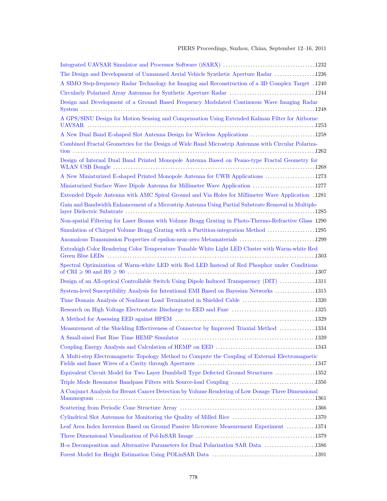| The Design and Development of Unmanned Aerial Vehicle Synthetic Aperture Radar 1236                   |
|-------------------------------------------------------------------------------------------------------|
| A SIMO Step-frequency Radar Technology for Imaging and Reconstruction of a 3D Complex Target. 1240    |
|                                                                                                       |
| Design and Development of a Ground Based Frequency Modulated Continuous Wave Imaging Radar            |
| A GPS/SINU Design for Motion Sensing and Compensation Using Extended Kalman Filter for Airborne       |
| A New Dual Band E-shaped Slot Antenna Design for Wireless Applications 1258                           |
| Combined Fractal Geometries for the Design of Wide Band Microstrip Antennas with Circular Polariza-   |
| Design of Internal Dual Band Printed Monopole Antenna Based on Peano-type Fractal Geometry for        |
| A New Miniaturized E-shaped Printed Monopole Antenna for UWB Applications 1273                        |
| Miniaturized Surface Wave Dipole Antenna for Millimeter Wave Application 1277                         |
| Extended Dipole Antenna with AMC Spiral Ground and Via Holes for Millimeter Wave Application . 1281   |
| Gain and Bandwidth Enhancement of a Microstrip Antenna Using Partial Substrate Removal in Multiple-   |
| Non-spatial Filtering for Laser Beams with Volume Bragg Grating in Photo-Thermo-Refractive Glass 1290 |
| Simulation of Chirped Volume Bragg Grating with a Partition-integration Method  1295                  |
|                                                                                                       |
| Extrahigh Color Rendering Color Temperature Tunable White Light LED Cluster with Warm-white Red       |
| Spectral Optimization of Warm-white LED with Red LED Instead of Red Phosphor under Conditions         |
|                                                                                                       |
| Design of an All-optical Controllable Switch Using Dipole Induced Transparency (DIT) 1311             |
| System-level Susceptibility Analysis for Intentional EMI Based on Bayesian Networks 1315              |
| Time Domain Analysis of Nonlinear Load Terminated in Shielded Cable 1320                              |
| Research on High Voltage Electrostatic Discharge to EED and Fuze 1325                                 |
|                                                                                                       |
| Measurement of the Shielding Effectiveness of Connector by Improved Triaxial Method  1334             |
|                                                                                                       |
|                                                                                                       |
| A Multi-step Electromagnetic Topology Method to Compute the Coupling of External Electromagnetic      |
| Equivalent Circuit Model for Two Layer Dumbbell Type Defected Ground Structures 1352                  |
|                                                                                                       |
| A Conjunct Analysis for Breast Cancer Detection by Volume Rendering of Low Dosage Three Dimensional   |
|                                                                                                       |
|                                                                                                       |
| Leaf Area Index Inversion Based on Ground Passive Microwave Measurement Experiment 1374               |
|                                                                                                       |
| $H-\alpha$ Decomposition and Alternative Parameters for Dual Polarization SAR Data 1386               |